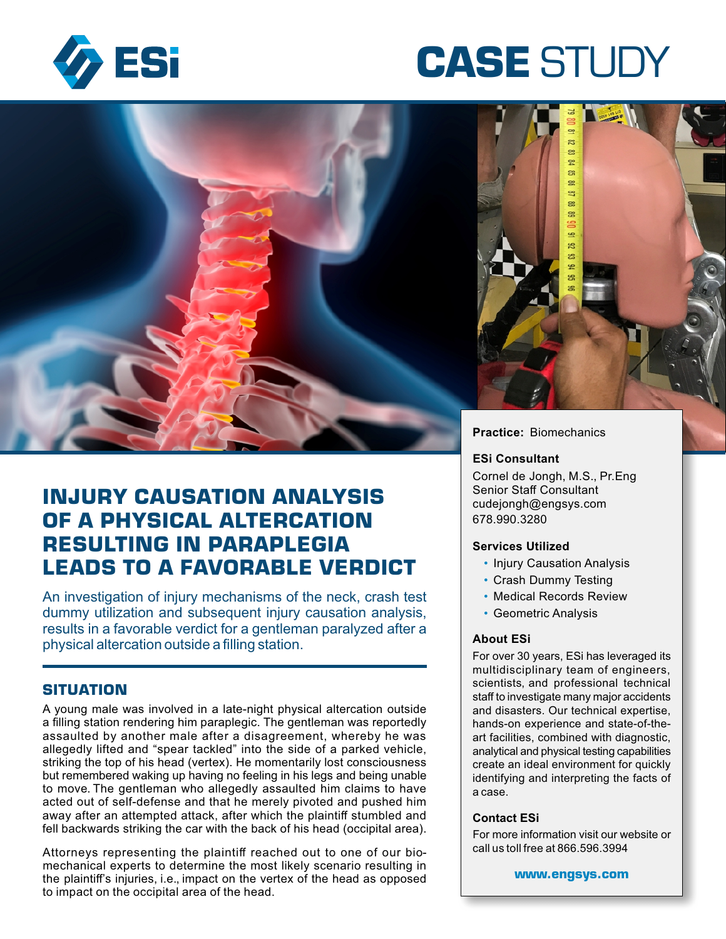

# **CASE** STUDY



# **INJURY CAUSATION ANALYSIS OF A PHYSICAL ALTERCATION RESULTING IN PARAPLEGIA LEADS TO A FAVORABLE VERDICT**

An investigation of injury mechanisms of the neck, crash test dummy utilization and subsequent injury causation analysis, results in a favorable verdict for a gentleman paralyzed after a physical altercation outside a filling station.

# **SITUATION**

A young male was involved in a late-night physical altercation outside a filling station rendering him paraplegic. The gentleman was reportedly assaulted by another male after a disagreement, whereby he was allegedly lifted and "spear tackled" into the side of a parked vehicle, striking the top of his head (vertex). He momentarily lost consciousness but remembered waking up having no feeling in his legs and being unable to move. The gentleman who allegedly assaulted him claims to have acted out of self-defense and that he merely pivoted and pushed him away after an attempted attack, after which the plaintiff stumbled and fell backwards striking the car with the back of his head (occipital area).

Attorneys representing the plaintiff reached out to one of our biomechanical experts to determine the most likely scenario resulting in the plaintiff's injuries, i.e., impact on the vertex of the head as opposed to impact on the occipital area of the head.

#### **ESi Consultant**

Cornel de Jongh, M.S., Pr.Eng Senior Staff Consultant cudejongh@engsys.com 678.990.3280

#### **Services Utilized**

- Injury Causation Analysis
- Crash Dummy Testing
- Medical Records Review
- Geometric Analysis

#### **About ESi**

For over 30 years, ESi has leveraged its multidisciplinary team of engineers, scientists, and professional technical staff to investigate many major accidents and disasters. Our technical expertise, hands-on experience and state-of-theart facilities, combined with diagnostic, analytical and physical testing capabilities create an ideal environment for quickly identifying and interpreting the facts of a case.

#### **Contact ESi**

For more information visit our website or call us toll free at 866.596.3994

**www.engsys.com**